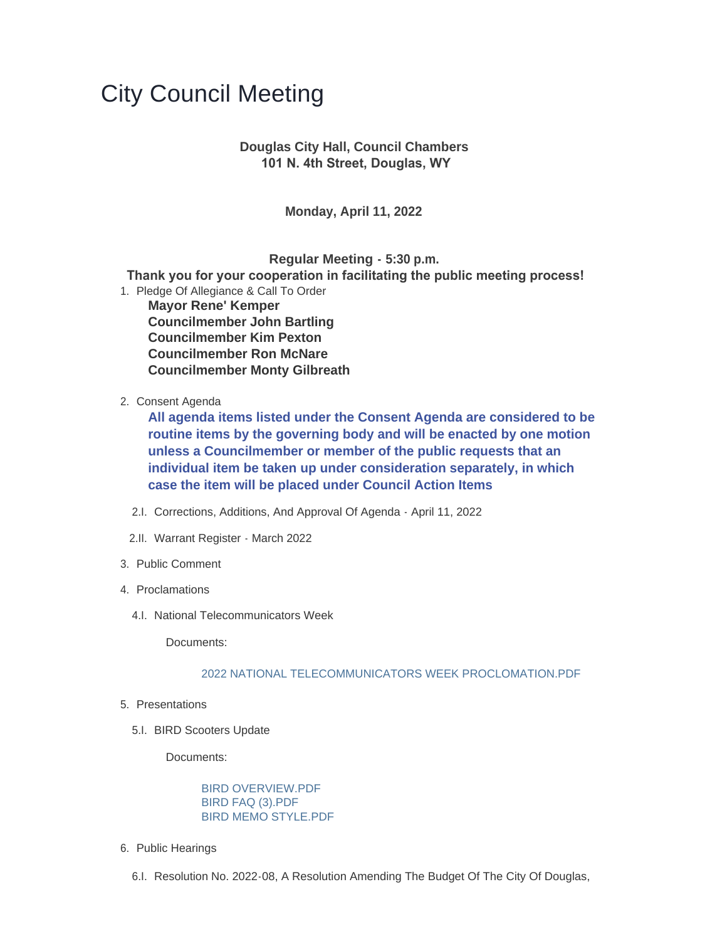## City Council Meeting

## **Douglas City Hall, Council Chambers 101 N. 4th Street, Douglas, WY**

**Monday, April 11, 2022**

**Regular Meeting - 5:30 p.m.**

 **Thank you for your cooperation in facilitating the public meeting process!**

- 1. Pledge Of Allegiance & Call To Order **Mayor Rene' Kemper Councilmember John Bartling Councilmember Kim Pexton Councilmember Ron McNare Councilmember Monty Gilbreath**
- 2. Consent Agenda

**All agenda items listed under the Consent Agenda are considered to be routine items by the governing body and will be enacted by one motion unless a Councilmember or member of the public requests that an individual item be taken up under consideration separately, in which case the item will be placed under Council Action Items**

- 2.I. Corrections, Additions, And Approval Of Agenda April 11, 2022
- 2.II. Warrant Register March 2022
- 3. Public Comment
- 4. Proclamations
	- 4.I. National Telecommunicators Week

Documents:

## [2022 NATIONAL TELECOMMUNICATORS WEEK PROCLOMATION.PDF](https://www.cityofdouglas.org/AgendaCenter/ViewFile/Item/4994?fileID=4258)

- 5. Presentations
	- 5.I. BIRD Scooters Update

Documents:

[BIRD OVERVIEW.PDF](https://www.cityofdouglas.org/AgendaCenter/ViewFile/Item/4980?fileID=4236) [BIRD FAQ \(3\).PDF](https://www.cityofdouglas.org/AgendaCenter/ViewFile/Item/4980?fileID=4237) [BIRD MEMO STYLE.PDF](https://www.cityofdouglas.org/AgendaCenter/ViewFile/Item/4980?fileID=4238)

- 6. Public Hearings
	- 6.I. Resolution No. 2022-08, A Resolution Amending The Budget Of The City Of Douglas,